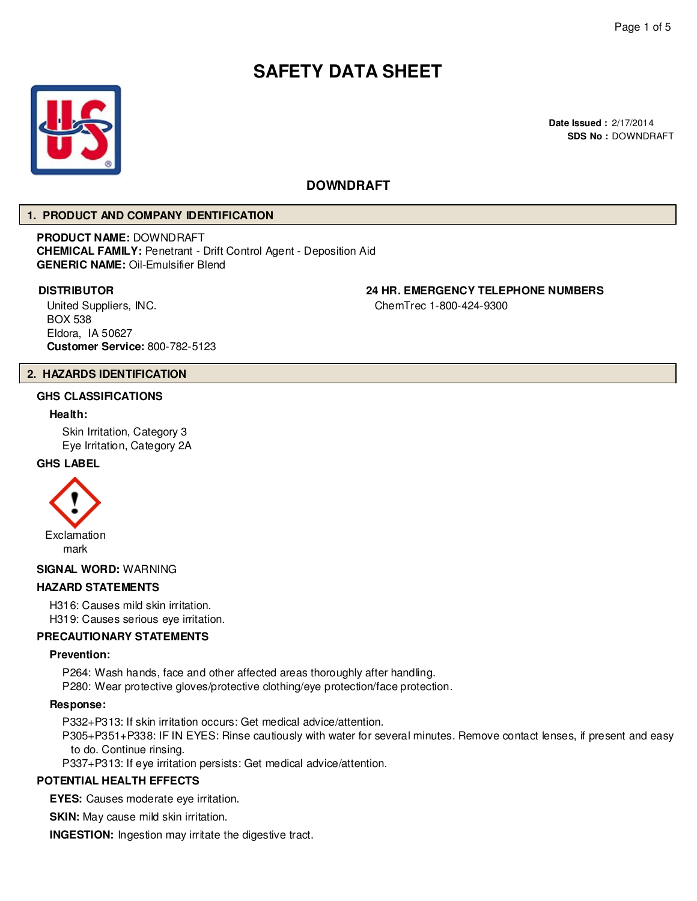# **SAFETY DATA SHEET**



## **DOWNDRAFT**

#### **1. PRODUCT AND COMPANY IDENTIFICATION**

**PRODUCT NAME:** DOWNDRAFT **CHEMICAL FAMILY:** Penetrant - Drift Control Agent - Deposition Aid **GENERIC NAME:** Oil-Emulsifier Blend

United Suppliers, INC. BOX 538 Eldora, IA 50627 **Customer Service:** 800-782-5123

# **DISTRIBUTOR 24 HR. EMERGENCY TELEPHONE NUMBERS**

ChemTrec 1-800-424-9300

#### **2. HAZARDS IDENTIFICATION**

#### **GHS CLASSIFICATIONS**

#### **Health:**

Skin Irritation, Category 3 Eye Irritation, Category 2A

#### **GHS LABEL**



#### **SIGNAL WORD:** WARNING

#### **HAZARD STATEMENTS**

H316: Causes mild skin irritation.

H319: Causes serious eye irritation.

#### **PRECAUTIONARY STATEMENTS**

#### **Prevention:**

P264: Wash hands, face and other affected areas thoroughly after handling. P280: Wear protective gloves/protective clothing/eye protection/face protection.

#### **Response:**

P332+P313: If skin irritation occurs: Get medical advice/attention.

P305+P351+P338: IF IN EYES: Rinse cautiously with water for several minutes. Remove contact lenses, if present and easy to do. Continue rinsing.

P337+P313: If eye irritation persists: Get medical advice/attention.

#### **POTENTIAL HEALTH EFFECTS**

**EYES:** Causes moderate eye irritation.

**SKIN:** May cause mild skin irritation.

**INGESTION:** Ingestion may irritate the digestive tract.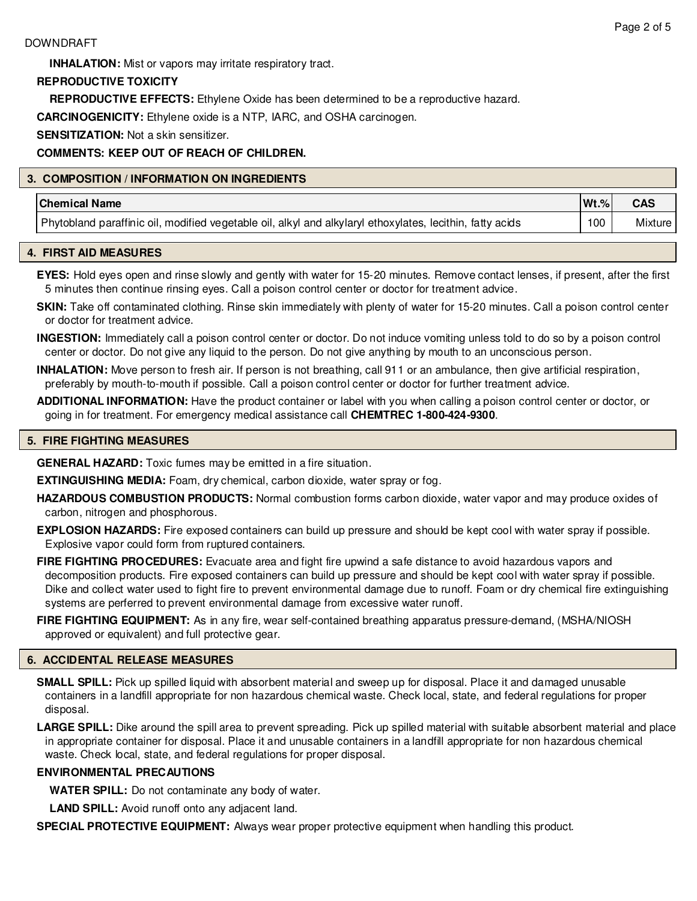**INHALATION:** Mist or vapors may irritate respiratory tract.

#### **REPRODUCTIVE TOXICITY**

**REPRODUCTIVE EFFECTS:** Ethylene Oxide has been determined to be a reproductive hazard.

**CARCINOGENICITY:** Ethylene oxide is a NTP, IARC, and OSHA carcinogen.

**SENSITIZATION:** Not a skin sensitizer.

#### **COMMENTS: KEEP OUT OF REACH OF CHILDREN.**

#### **3. COMPOSITION / INFORMATION ON INGREDIENTS**

| <b>Chemical Name</b>                                                                                      | $Wt.$ % | <b>CAS</b> |
|-----------------------------------------------------------------------------------------------------------|---------|------------|
| Phytobland paraffinic oil, modified vegetable oil, alkyl and alkylaryl ethoxylates, lecithin, fatty acids | 100     | Mixture    |

#### **4. FIRST AID MEASURES**

**EYES:** Hold eyes open and rinse slowly and gently with water for 15-20 minutes. Remove contact lenses, if present, after the first 5 minutes then continue rinsing eyes. Call a poison control center or doctor for treatment advice.

**SKIN:** Take off contaminated clothing. Rinse skin immediately with plenty of water for 15-20 minutes. Call a poison control center or doctor for treatment advice.

**INGESTION:** Immediately call a poison control center or doctor. Do not induce vomiting unless told to do so by a poison control center or doctor. Do not give any liquid to the person. Do not give anything by mouth to an unconscious person.

**INHALATION:** Move person to fresh air. If person is not breathing, call 911 or an ambulance, then give artificial respiration, preferably by mouth-to-mouth if possible. Call a poison control center or doctor for further treatment advice.

**ADDITIONAL INFORMATION:** Have the product container or label with you when calling a poison control center or doctor, or going in for treatment. For emergency medical assistance call **CHEMTREC 1-800-424-9300**.

#### **5. FIRE FIGHTING MEASURES**

**GENERAL HAZARD:** Toxic fumes may be emitted in a fire situation.

**EXTINGUISHING MEDIA:** Foam, dry chemical, carbon dioxide, water spray or fog.

**HAZARDOUS COMBUSTION PRODUCTS:** Normal combustion forms carbon dioxide, water vapor and may produce oxides of carbon, nitrogen and phosphorous.

**EXPLOSION HAZARDS:** Fire exposed containers can build up pressure and should be kept cool with water spray if possible. Explosive vapor could form from ruptured containers.

**FIRE FIGHTING PROCEDURES:** Evacuate area and fight fire upwind a safe distance to avoid hazardous vapors and decomposition products. Fire exposed containers can build up pressure and should be kept cool with water spray if possible. Dike and collect water used to fight fire to prevent environmental damage due to runoff. Foam or dry chemical fire extinguishing systems are perferred to prevent environmental damage from excessive water runoff.

**FIRE FIGHTING EQUIPMENT:** As in any fire, wear self-contained breathing apparatus pressure-demand, (MSHA/NIOSH approved or equivalent) and full protective gear.

#### **6. ACCIDENTAL RELEASE MEASURES**

**SMALL SPILL:** Pick up spilled liquid with absorbent material and sweep up for disposal. Place it and damaged unusable containers in a landfill appropriate for non hazardous chemical waste. Check local, state, and federal regulations for proper disposal.

LARGE SPILL: Dike around the spill area to prevent spreading. Pick up spilled material with suitable absorbent material and place in appropriate container for disposal. Place it and unusable containers in a landfill appropriate for non hazardous chemical waste. Check local, state, and federal regulations for proper disposal.

#### **ENVIRONMENTAL PRECAUTIONS**

**WATER SPILL:** Do not contaminate any body of water.

**LAND SPILL:** Avoid runoff onto any adjacent land.

**SPECIAL PROTECTIVE EQUIPMENT:** Always wear proper protective equipment when handling this product.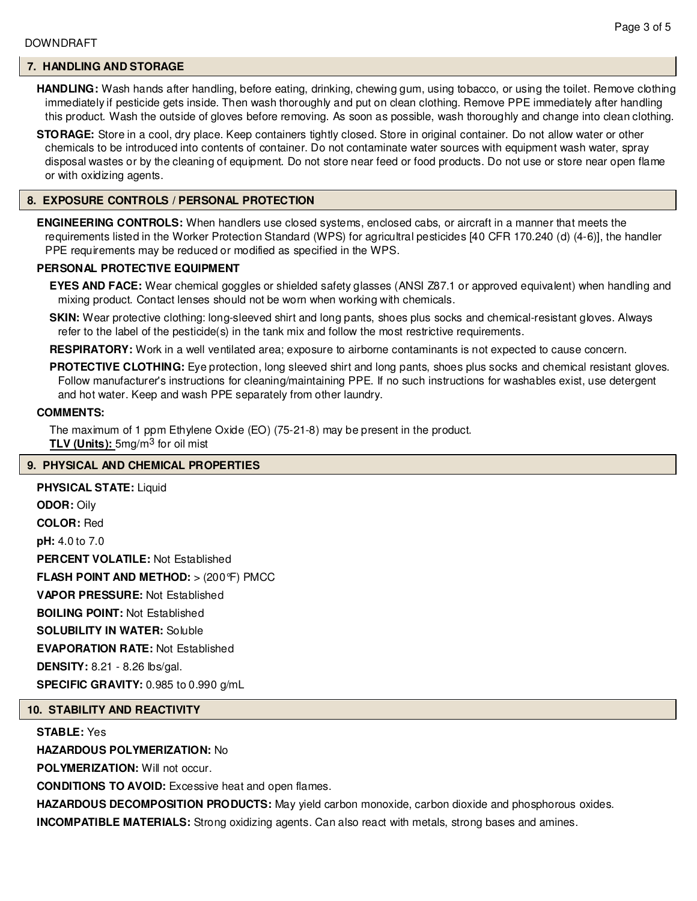#### **7. HANDLING AND STORAGE**

**HANDLING:** Wash hands after handling, before eating, drinking, chewing gum, using tobacco, or using the toilet. Remove clothing immediately if pesticide gets inside. Then wash thoroughly and put on clean clothing. Remove PPE immediately after handling this product. Wash the outside of gloves before removing. As soon as possible, wash thoroughly and change into clean clothing.

**STORAGE:** Store in a cool, dry place. Keep containers tightly closed. Store in original container. Do not allow water or other chemicals to be introduced into contents of container. Do not contaminate water sources with equipment wash water, spray disposal wastes or by the cleaning of equipment. Do not store near feed or food products. Do not use or store near open flame or with oxidizing agents.

#### **8. EXPOSURE CONTROLS / PERSONAL PROTECTION**

**ENGINEERING CONTROLS:** When handlers use closed systems, enclosed cabs, or aircraft in a manner that meets the requirements listed in the Worker Protection Standard (WPS) for agricultral pesticides [40 CFR 170.240 (d) (4-6)], the handler PPE requirements may be reduced or modified as specified in the WPS.

#### **PERSONAL PROTECTIVE EQUIPMENT**

**EYES AND FACE:** Wear chemical goggles or shielded safety glasses (ANSI Z87.1 or approved equivalent) when handling and mixing product. Contact lenses should not be worn when working with chemicals.

**SKIN:** Wear protective clothing: long-sleeved shirt and long pants, shoes plus socks and chemical-resistant gloves. Always refer to the label of the pesticide(s) in the tank mix and follow the most restrictive requirements.

**RESPIRATORY:** Work in a well ventilated area; exposure to airborne contaminants is not expected to cause concern.

**PROTECTIVE CLOTHING:** Eye protection, long sleeved shirt and long pants, shoes plus socks and chemical resistant gloves. Follow manufacturer's instructions for cleaning/maintaining PPE. If no such instructions for washables exist, use detergent and hot water. Keep and wash PPE separately from other laundry.

#### **COMMENTS:**

The maximum of 1 ppm Ethylene Oxide (EO) (75-21-8) may be present in the product. **TLV (Units):** 5mg/m3 for oil mist

#### **9. PHYSICAL AND CHEMICAL PROPERTIES**

**PHYSICAL STATE:** Liquid **ODOR:** Oily **COLOR:** Red **pH:** 4.0 to 7.0 **PERCENT VOLATILE:** Not Established **FLASH POINT AND METHOD:** > (200°F) PMCC **VAPOR PRESSURE:** Not Established **BOILING POINT:** Not Established **SOLUBILITY IN WATER:** Soluble **EVAPORATION RATE:** Not Established **DENSITY:** 8.21 - 8.26 lbs/gal. **SPECIFIC GRAVITY:** 0.985 to 0.990 g/mL

#### **10. STABILITY AND REACTIVITY**

**STABLE:** Yes

**HAZARDOUS POLYMERIZATION:** No

**POLYMERIZATION: Will not occur.** 

**CONDITIONS TO AVOID:** Excessive heat and open flames.

**HAZARDOUS DECOMPOSITION PRODUCTS:** May yield carbon monoxide, carbon dioxide and phosphorous oxides. **INCOMPATIBLE MATERIALS:** Strong oxidizing agents. Can also react with metals, strong bases and amines.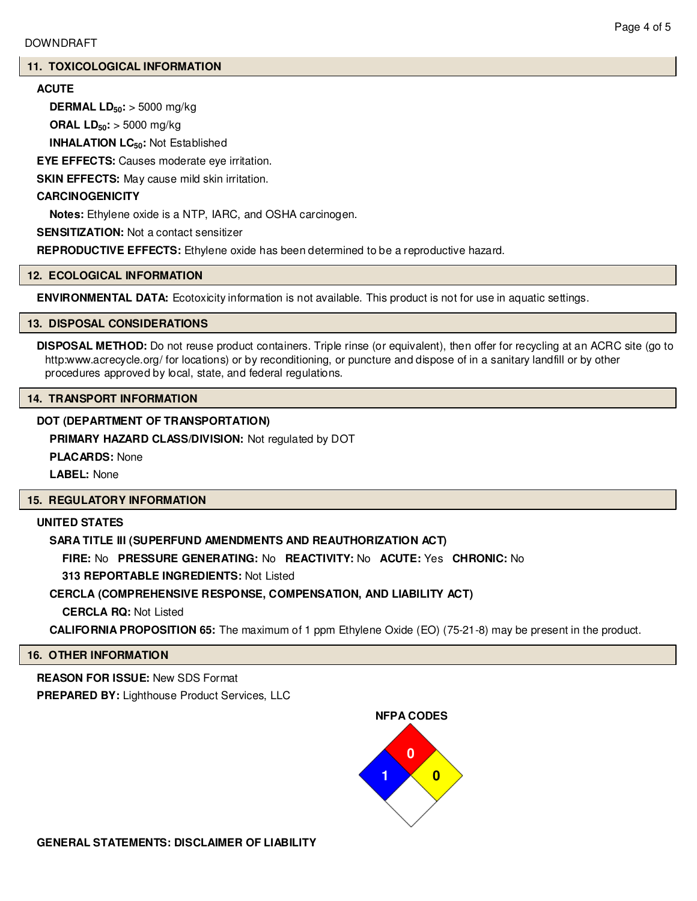#### **11. TOXICOLOGICAL INFORMATION**

### **ACUTE**

**DERMAL LD50:** > 5000 mg/kg

**ORAL LD50:** > 5000 mg/kg

**INHALATION LC50:** Not Established

**EYE EFFECTS:** Causes moderate eye irritation.

**SKIN EFFECTS:** May cause mild skin irritation.

#### **CARCINOGENICITY**

**Notes:** Ethylene oxide is a NTP, IARC, and OSHA carcinogen.

**SENSITIZATION:** Not a contact sensitizer

**REPRODUCTIVE EFFECTS:** Ethylene oxide has been determined to be a reproductive hazard.

#### **12. ECOLOGICAL INFORMATION**

**ENVIRONMENTAL DATA:** Ecotoxicity information is not available. This product is not for use in aquatic settings.

#### **13. DISPOSAL CONSIDERATIONS**

**DISPOSAL METHOD:** Do not reuse product containers. Triple rinse (or equivalent), then offer for recycling at an ACRC site (go to http:www.acrecycle.org/ for locations) or by reconditioning, or puncture and dispose of in a sanitary landfill or by other procedures approved by local, state, and federal regulations.

#### **14. TRANSPORT INFORMATION**

#### **DOT (DEPARTMENT OF TRANSPORTATION)**

**PRIMARY HAZARD CLASS/DIVISION:** Not regulated by DOT

**PLACARDS:** None

**LABEL:** None

### **15. REGULATORY INFORMATION**

### **UNITED STATES**

### **SARA TITLE III (SUPERFUND AMENDMENTS AND REAUTHORIZATION ACT)**

**FIRE:** No **PRESSURE GENERATING:** No **REACTIVITY:** No **ACUTE:** Yes **CHRONIC:** No

**313 REPORTABLE INGREDIENTS:** Not Listed

### **CERCLA (COMPREHENSIVE RESPONSE, COMPENSATION, AND LIABILITY ACT)**

**CERCLA RQ:** Not Listed

**CALIFORNIA PROPOSITION 65:** The maximum of 1 ppm Ethylene Oxide (EO) (75-21-8) may be present in the product.

#### **16. OTHER INFORMATION**

**REASON FOR ISSUE:** New SDS Format **PREPARED BY:** Lighthouse Product Services, LLC



**GENERAL STATEMENTS: DISCLAIMER OF LIABILITY**